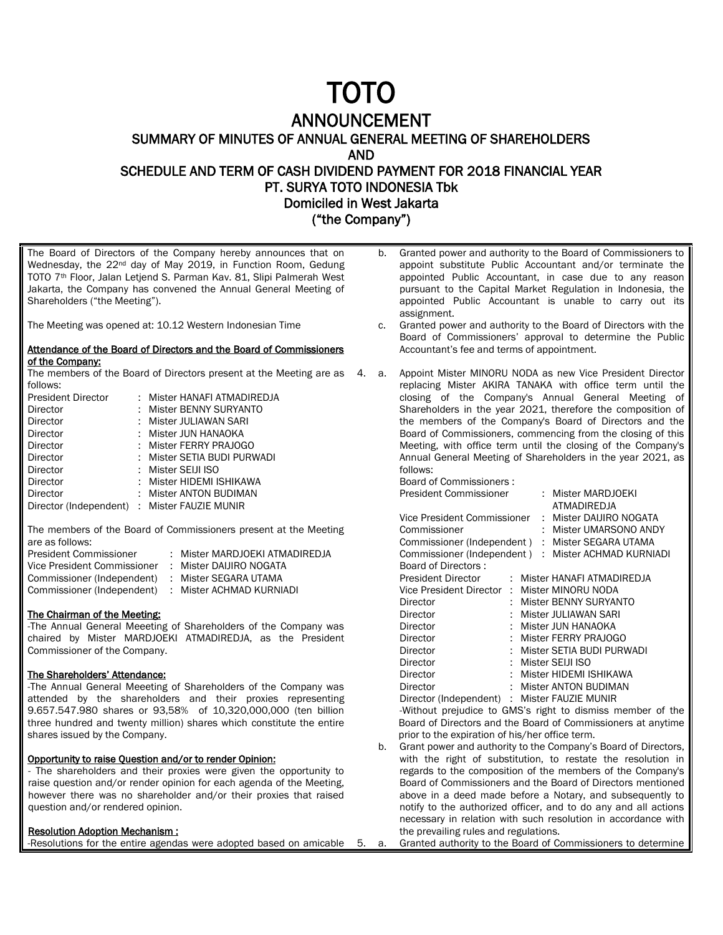# TOTO

# ANNOUNCEMENT

SUMMARY OF MINUTES OF ANNUAL GENERAL MEETING OF SHAREHOLDERS

AND

SCHEDULE AND TERM OF CASH DIVIDEND PAYMENT FOR 2018 FINANCIAL YEAR PT. SURYA TOTO INDONESIA Tbk

Domiciled in West Jakarta

("the Company")

The Board of Directors of the Company hereby announces that on Wednesday, the 22nd day of May 2019, in Function Room, Gedung TOTO 7th Floor, Jalan Letjend S. Parman Kav. 81, Slipi Palmerah West Jakarta, the Company has convened the Annual General Meeting of Shareholders ("the Meeting").

The Meeting was opened at: 10.12 Western Indonesian Time

### Attendance of the Board of Directors and the Board of Commissioners of the Company:

The members of the Board of Directors present at the Meeting are as 4. a. follows:

| <b>President Director</b>                    |    | : Mister HANAFI ATMADIREDJA |
|----------------------------------------------|----|-----------------------------|
| Director                                     | t. | Mister BENNY SURYANTO       |
| Director                                     |    | : Mister JULIAWAN SARI      |
| Director                                     |    | : Mister JUN HANAOKA        |
| Director                                     |    | : Mister FERRY PRAJOGO      |
| Director                                     |    | : Mister SETIA BUDI PURWADI |
| Director                                     |    | : Mister SEIJI ISO          |
| Director                                     |    | : Mister HIDEMI ISHIKAWA    |
| Director                                     |    | Mister ANTON BUDIMAN        |
| Director (Independent) : Mister FAUZIE MUNIR |    |                             |

The members of the Board of Commissioners present at the Meeting are as follows:

| President Commissioner      | : Mister MARDJOEKI ATMADIREDJA |
|-----------------------------|--------------------------------|
| Vice President Commissioner | : Mister DAIJIRO NOGATA        |
| Commissioner (Independent)  | : Mister SEGARA UTAMA          |
| Commissioner (Independent)  | : Mister ACHMAD KURNIADI       |

# The Chairman of the Meeting:

-The Annual General Meeeting of Shareholders of the Company was chaired by Mister MARDJOEKI ATMADIREDJA, as the President Commissioner of the Company.

### The Shareholders' Attendance:

-The Annual General Meeeting of Shareholders of the Company was attended by the shareholders and their proxies representing 9.657.547.980 shares or 93,58% of 10,320,000,000 (ten billion three hundred and twenty million) shares which constitute the entire shares issued by the Company.

## Opportunity to raise Question and/or to render Opinion:

- The shareholders and their proxies were given the opportunity to raise question and/or render opinion for each agenda of the Meeting. however there was no shareholder and/or their proxies that raised question and/or rendered opinion.

### Resolution Adoption Mechanism :

-Resolutions for the entire agendas were adopted based on amicable

- b. Granted power and authority to the Board of Commissioners to appoint substitute Public Accountant and/or terminate the appointed Public Accountant, in case due to any reason pursuant to the Capital Market Regulation in Indonesia, the appointed Public Accountant is unable to carry out its assignment.
- c. Granted power and authority to the Board of Directors with the Board of Commissioners' approval to determine the Public Accountant's fee and terms of appointment.
	- Appoint Mister MINORU NODA as new Vice President Director replacing Mister AKIRA TANAKA with office term until the closing of the Company's Annual General Meeting of Shareholders in the year 2021, therefore the composition of the members of the Company's Board of Directors and the Board of Commissioners, commencing from the closing of this Meeting, with office term until the closing of the Company's Annual General Meeting of Shareholders in the year 2021, as follows:

Board of Commissioners : President Commissioner : Mister MARDJOEKI

|                                                         |  |  | <b>ATMADIREDJA</b>                                  |  |  |  |  |
|---------------------------------------------------------|--|--|-----------------------------------------------------|--|--|--|--|
| Vice President Commissioner                             |  |  | : Mister DAIJIRO NOGATA                             |  |  |  |  |
| Commissioner                                            |  |  | : Mister UMARSONO ANDY                              |  |  |  |  |
| Commissioner (Independent) : Mister SEGARA UTAMA        |  |  |                                                     |  |  |  |  |
|                                                         |  |  | Commissioner (Independent) : Mister ACHMAD KURNIADI |  |  |  |  |
| Board of Directors:                                     |  |  |                                                     |  |  |  |  |
| <b>President Director</b>                               |  |  | : Mister HANAFI ATMADIREDJA                         |  |  |  |  |
| Vice President Director : Mister MINORU NODA            |  |  |                                                     |  |  |  |  |
| Director                                                |  |  | Mister BENNY SURYANTO                               |  |  |  |  |
| Director                                                |  |  | Mister JULIAWAN SARI                                |  |  |  |  |
| Director                                                |  |  | Mister JUN HANAOKA                                  |  |  |  |  |
| Director                                                |  |  | Mister FERRY PRAJOGO                                |  |  |  |  |
| Director                                                |  |  | Mister SETIA BUDI PURWADI                           |  |  |  |  |
| Director                                                |  |  | : Mister SEIJI ISO                                  |  |  |  |  |
| Director                                                |  |  | : Mister HIDEMI ISHIKAWA                            |  |  |  |  |
| Director                                                |  |  | : Mister ANTON BUDIMAN                              |  |  |  |  |
| Director (Independent) : Mister FAUZIE MUNIR            |  |  |                                                     |  |  |  |  |
| Without projudice to CMS's right to dismiss member of t |  |  |                                                     |  |  |  |  |

-Without prejudice to GMS's right to dismiss member of the Board of Directors and the Board of Commissioners at anytime prior to the expiration of his/her office term.

- b. Grant power and authority to the Company's Board of Directors, with the right of substitution, to restate the resolution in regards to the composition of the members of the Company's Board of Commissioners and the Board of Directors mentioned above in a deed made before a Notary, and subsequently to notify to the authorized officer, and to do any and all actions necessary in relation with such resolution in accordance with the prevailing rules and regulations.
- 5. a. Granted authority to the Board of Commissioners to determine